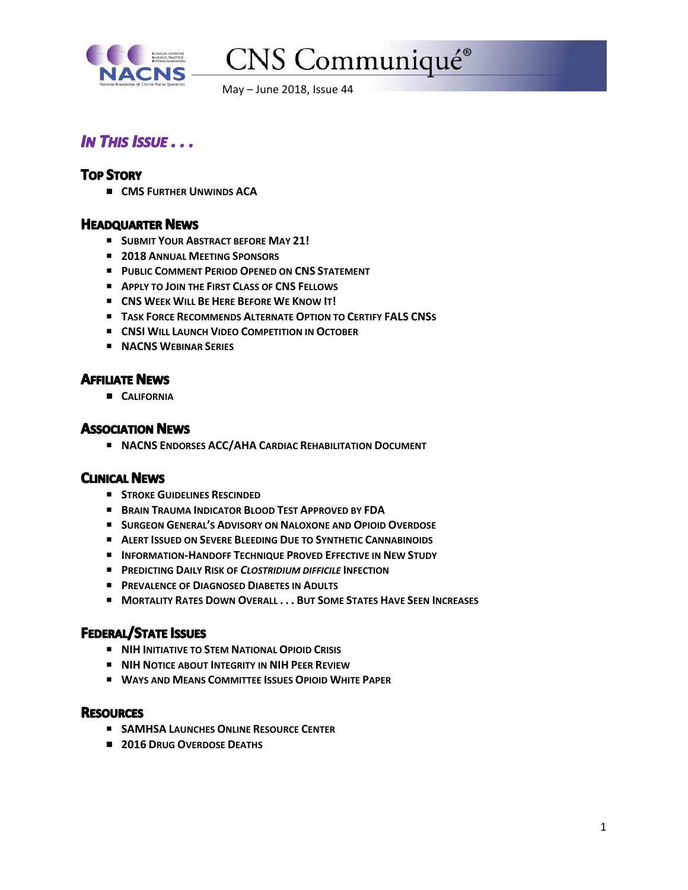

# CNS Communiqué®

May – June 2018, Issue 44

# **IN THIS ISSUE...**

# **TOP STORY**

**CMS FURTHER UNWINDS ACA**

# **HEADQUARTER NEWS**

- P **SUBMIT YOUR ABSTRACT BEFORE MAY 21!**
- P **2018 ANNUAL MEETING SPONSORS**
- P **PUBLIC COMMENT PERIOD OPENED ON CNS STATEMENT**
- P **APPLY TO JOIN THE FIRST CLASS OF CNS FELLOWS**
- P **CNS WEEK WILL BE HERE BEFORE WE KNOW IT!**
- P **TASK FORCE RECOMMENDS ALTERNATE OPTION TO CERTIFY FALS CNSS**
- P **CNSI WILL LAUNCH VIDEO COMPETITION IN OCTOBER**
- P **NACNS WEBINAR SERIES**

# **AFFILIATE NEWS**

**CALIFORNIA**

## **ASSOCIATION NEWS**

P **NACNS ENDORSES ACC/AHA CARDIAC REHABILITATION DOCUMENT**

# **CLINICAL NEWS**

- P **STROKE GUIDELINES RESCINDED**
- P **BRAIN TRAUMA INDICATOR BLOOD TEST APPROVED BY FDA**
- P **SURGEON GENERAL'S ADVISORY ON NALOXONE AND OPIOID OVERDOSE**
- P **ALERT ISSUED ON SEVERE BLEEDING DUE TO SYNTHETIC CANNABINOIDS**
- P **INFORMATION‐HANDOFF TECHNIQUE PROVED EFFECTIVE IN NEW STUDY**
- P **PREDICTING DAILY RISK OF** *CLOSTRIDIUM DIFFICILE* **INFECTION**
- P **PREVALENCE OF DIAGNOSED DIABETES IN ADULTS**
- P **MORTALITY RATES DOWN OVERALL . . . BUT SOME STATES HAVE SEEN INCREASES**

# **FEDERAL/STATE ISSUES**

- P **NIH INITIATIVE TO STEM NATIONAL OPIOID CRISIS**
- P **NIH NOTICE ABOUT INTEGRITY IN NIH PEER REVIEW**
- P **WAYS AND MEANS COMMITTEE ISSUES OPIOID WHITE PAPER**

## **RESOURCES**

- P **SAMHSA LAUNCHES ONLINE RESOURCE CENTER**
- **2016 DRUG OVERDOSE DEATHS**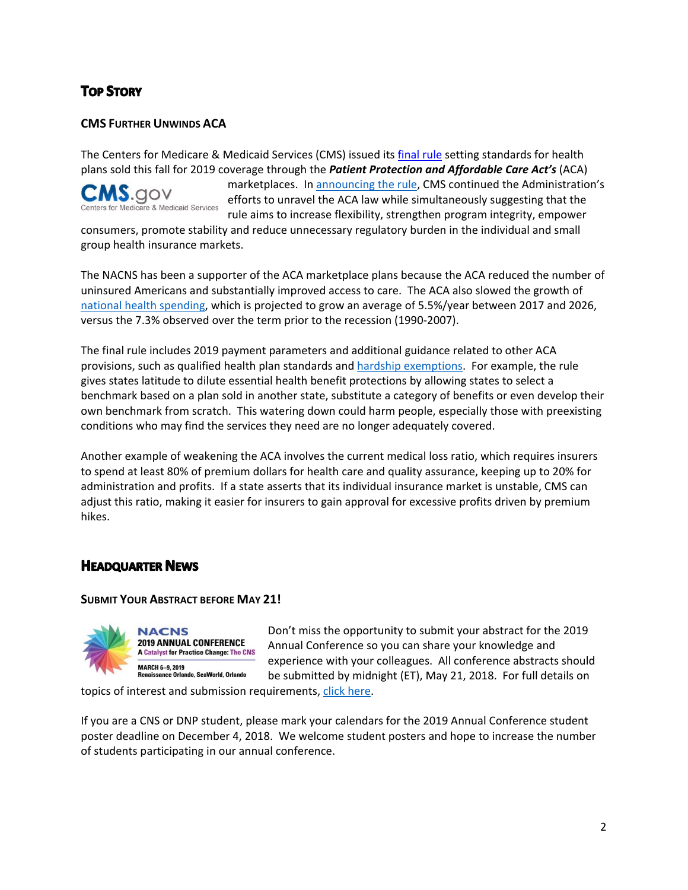# **TOP STORY**

# **CMS FURTHER UNWINDS ACA**

The Centers for Medicare & Medicaid Services (CMS) issued its final rule setting standards for health plans sold this fall for 2019 coverage through the *Patient Protection and Affordable Care Act's* (ACA)

COV for Medicare & Medicaid Services marketplaces. In announcing the rule, CMS continued the Administration's efforts to unravel the ACA law while simultaneously suggesting that the rule aims to increase flexibility, strengthen program integrity, empower

consumers, promote stability and reduce unnecessary regulatory burden in the individual and small group health insurance markets.

The NACNS has been a supporter of the ACA marketplace plans because the ACA reduced the number of uninsured Americans and substantially improved access to care. The ACA also slowed the growth of national health spending, which is projected to grow an average of 5.5%/year between 2017 and 2026, versus the 7.3% observed over the term prior to the recession (1990‐2007).

The final rule includes 2019 payment parameters and additional guidance related to other ACA provisions, such as qualified health plan standards and hardship exemptions. For example, the rule gives states latitude to dilute essential health benefit protections by allowing states to select a benchmark based on a plan sold in another state, substitute a category of benefits or even develop their own benchmark from scratch. This watering down could harm people, especially those with preexisting conditions who may find the services they need are no longer adequately covered.

Another example of weakening the ACA involves the current medical loss ratio, which requires insurers to spend at least 80% of premium dollars for health care and quality assurance, keeping up to 20% for administration and profits. If a state asserts that its individual insurance market is unstable, CMS can adjust this ratio, making it easier for insurers to gain approval for excessive profits driven by premium hikes.

# **HEADQUARTER NEWS**

#### **SUBMIT YOUR ABSTRACT BEFORE MAY 21!**



Don't miss the opportunity to submit your abstract for the 2019 Annual Conference so you can share your knowledge and experience with your colleagues. All conference abstracts should be submitted by midnight (ET), May 21, 2018. For full details on

topics of interest and submission requirements, click here.

If you are a CNS or DNP student, please mark your calendars for the 2019 Annual Conference student poster deadline on December 4, 2018. We welcome student posters and hope to increase the number of students participating in our annual conference.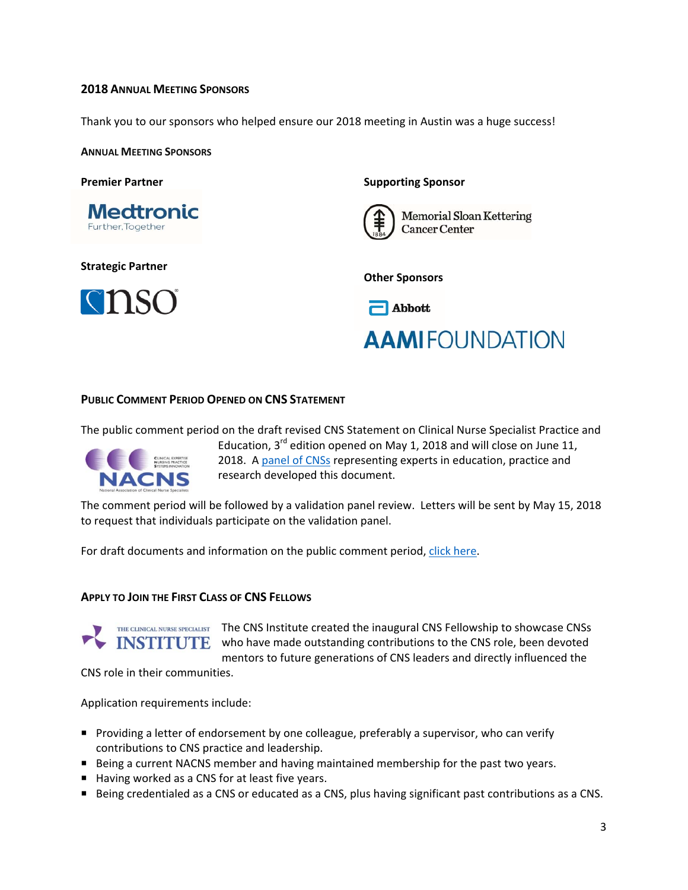## **2018 ANNUAL MEETING SPONSORS**

Thank you to our sponsors who helped ensure our 2018 meeting in Austin was a huge success!

**ANNUAL MEETING SPONSORS**

**Premier Partner**



**Strategic Partner** 



#### **Supporting Sponsor**



**Memorial Sloan Kettering Cancer Center** 

**Other Sponsors** 



# **AAMIFOUNDATION**

#### **PUBLIC COMMENT PERIOD OPENED ON CNS STATEMENT**

The public comment period on the draft revised CNS Statement on Clinical Nurse Specialist Practice and



Education,  $3^{rd}$  edition opened on May 1, 2018 and will close on June 11, 2018. A panel of CNSs representing experts in education, practice and research developed this document.

The comment period will be followed by a validation panel review. Letters will be sent by May 15, 2018 to request that individuals participate on the validation panel.

For draft documents and information on the public comment period, click here.

#### **APPLY TO JOIN THE FIRST CLASS OF CNS FELLOWS**



THE CLINICAL NURSE SPECIALIST The CNS Institute created the inaugural CNS Fellowship to showcase CNSs INSTITUTE who have made outstanding contributions to the CNS role, been devoted mentors to future generations of CNS leaders and directly influenced the

CNS role in their communities.

Application requirements include:

- **Providing a letter of endorsement by one colleague, preferably a supervisor, who can verify** contributions to CNS practice and leadership.
- **P** Being a current NACNS member and having maintained membership for the past two years.
- Having worked as a CNS for at least five years.
- Being credentialed as a CNS or educated as a CNS, plus having significant past contributions as a CNS.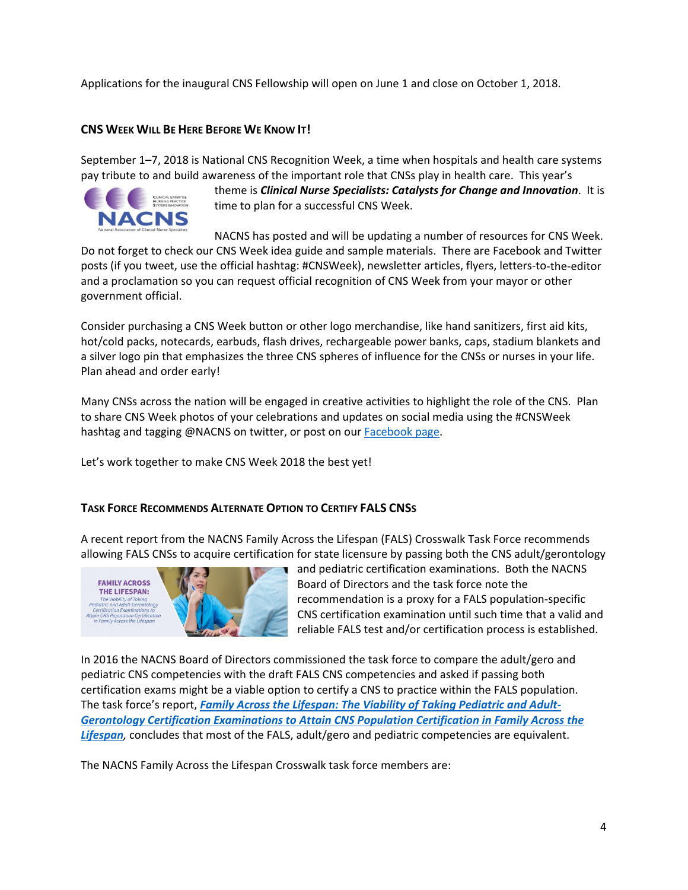Applications for the inaugural CNS Fellowship will open on June 1 and close on October 1, 2018.

## **CNS WEEK WILL BE HERE BEFORE WE KNOW IT!**

September 1–7, 2018 is National CNS Recognition Week, a time when hospitals and health care systems pay tribute to and build awareness of the important role that CNSs play in health care. This year's



theme is *Clinical Nurse Specialists: Catalysts for Change and Innovation*. It is time to plan for a successful CNS Week.

NACNS has posted and will be updating a number of resources for CNS Week.

Do not forget to check our CNS Week idea guide and sample materials. There are Facebook and Twitter posts (if you tweet, use the official hashtag: #CNSWeek), newsletter articles, flyers, letters‐to‐the‐editor and a proclamation so you can request official recognition of CNS Week from your mayor or other government official.

Consider purchasing a CNS Week button or other logo merchandise, like hand sanitizers, first aid kits, hot/cold packs, notecards, earbuds, flash drives, rechargeable power banks, caps, stadium blankets and a silver logo pin that emphasizes the three CNS spheres of influence for the CNSs or nurses in your life. Plan ahead and order early!

Many CNSs across the nation will be engaged in creative activities to highlight the role of the CNS. Plan to share CNS Week photos of your celebrations and updates on social media using the #CNSWeek hashtag and tagging @NACNS on twitter, or post on our Facebook page.

Let's work together to make CNS Week 2018 the best yet!

#### **TASK FORCE RECOMMENDS ALTERNATE OPTION TO CERTIFY FALS CNSS**

A recent report from the NACNS Family Across the Lifespan (FALS) Crosswalk Task Force recommends allowing FALS CNSs to acquire certification for state licensure by passing both the CNS adult/gerontology



and pediatric certification examinations. Both the NACNS Board of Directors and the task force note the recommendation is a proxy for a FALS population‐specific CNS certification examination until such time that a valid and reliable FALS test and/or certification process is established.

In 2016 the NACNS Board of Directors commissioned the task force to compare the adult/gero and pediatric CNS competencies with the draft FALS CNS competencies and asked if passing both certification exams might be a viable option to certify a CNS to practice within the FALS population. The task force's report, *Family Across the Lifespan: The Viability of Taking Pediatric and Adult‐ Gerontology Certification Examinations to Attain CNS Population Certification in Family Across the Lifespan,* concludes that most of the FALS, adult/gero and pediatric competencies are equivalent.

The NACNS Family Across the Lifespan Crosswalk task force members are: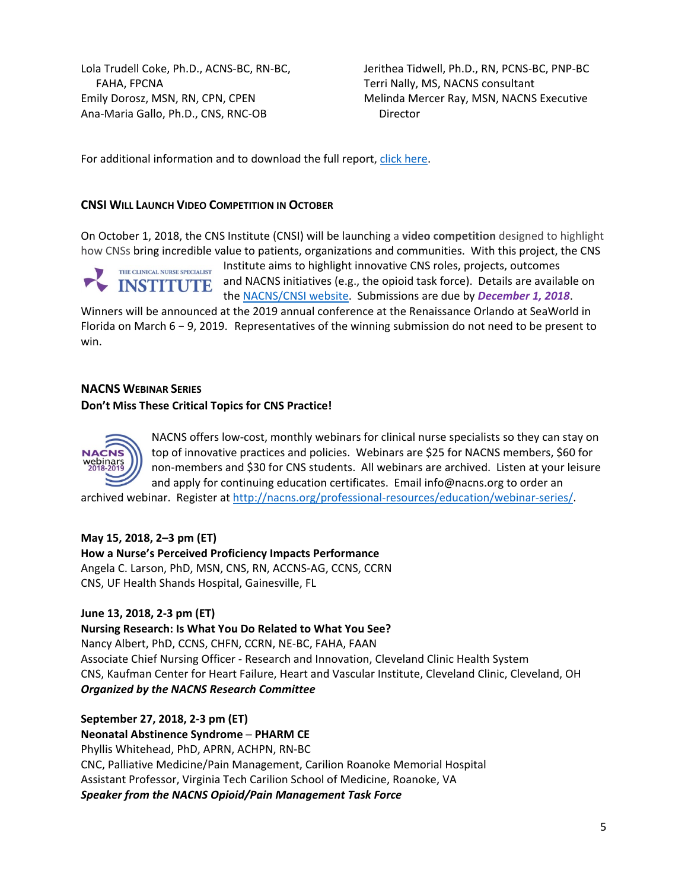Lola Trudell Coke, Ph.D., ACNS‐BC, RN‐BC, FAHA, FPCNA Emily Dorosz, MSN, RN, CPN, CPEN Ana‐Maria Gallo, Ph.D., CNS, RNC‐OB

Jerithea Tidwell, Ph.D., RN, PCNS‐BC, PNP‐BC Terri Nally, MS, NACNS consultant Melinda Mercer Ray, MSN, NACNS Executive Director

For additional information and to download the full report, click here.

#### **CNSI WILL LAUNCH VIDEO COMPETITION IN OCTOBER**

On October 1, 2018, the CNS Institute (CNSI) will be launching a **video competition** designed to highlight how CNSs bring incredible value to patients, organizations and communities. With this project, the CNS

THE CLINICAL NURSE SPECIALIST **INSTITUTE** 

Institute aims to highlight innovative CNS roles, projects, outcomes and NACNS initiatives (e.g., the opioid task force). Details are available on the NACNS/CNSI website. Submissions are due by *December 1, 2018*.

Winners will be announced at the 2019 annual conference at the Renaissance Orlando at SeaWorld in Florida on March 6 − 9, 2019. Representatives of the winning submission do not need to be present to win.

## **NACNS WEBINAR SERIES**

#### **Don't Miss These Critical Topics for CNS Practice!**



NACNS offers low‐cost, monthly webinars for clinical nurse specialists so they can stay on top of innovative practices and policies. Webinars are \$25 for NACNS members, \$60 for non‐members and \$30 for CNS students. All webinars are archived. Listen at your leisure and apply for continuing education certificates. Email info@nacns.org to order an

archived webinar. Register at http://nacns.org/professional-resources/education/webinar-series/.

#### **May 15, 2018, 2–3 pm (ET)**

**How a Nurse's Perceived Proficiency Impacts Performance**

Angela C. Larson, PhD, MSN, CNS, RN, ACCNS‐AG, CCNS, CCRN CNS, UF Health Shands Hospital, Gainesville, FL

## **June 13, 2018, 2‐3 pm (ET)**

**Nursing Research: Is What You Do Related to What You See?**

Nancy Albert, PhD, CCNS, CHFN, CCRN, NE‐BC, FAHA, FAAN Associate Chief Nursing Officer ‐ Research and Innovation, Cleveland Clinic Health System CNS, Kaufman Center for Heart Failure, Heart and Vascular Institute, Cleveland Clinic, Cleveland, OH *Organized by the NACNS Research Committee*

**September 27, 2018, 2‐3 pm (ET)** 

**Neonatal Abstinence Syndrome ─ PHARM CE** Phyllis Whitehead, PhD, APRN, ACHPN, RN‐BC CNC, Palliative Medicine/Pain Management, Carilion Roanoke Memorial Hospital Assistant Professor, Virginia Tech Carilion School of Medicine, Roanoke, VA *Speaker from the NACNS Opioid/Pain Management Task Force*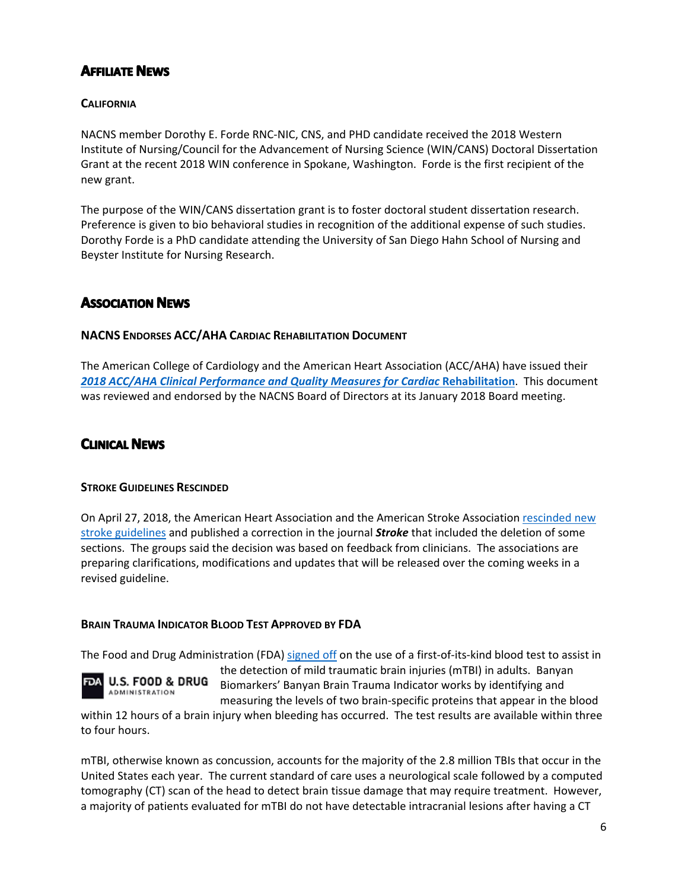# **AFFILIATE NEWS**

# **CALIFORNIA**

NACNS member Dorothy E. Forde RNC‐NIC, CNS, and PHD candidate received the 2018 Western Institute of Nursing/Council for the Advancement of Nursing Science (WIN/CANS) Doctoral Dissertation Grant at the recent 2018 WIN conference in Spokane, Washington. Forde is the first recipient of the new grant.

The purpose of the WIN/CANS dissertation grant is to foster doctoral student dissertation research. Preference is given to bio behavioral studies in recognition of the additional expense of such studies. Dorothy Forde is a PhD candidate attending the University of San Diego Hahn School of Nursing and Beyster Institute for Nursing Research.

# **ASSOCIATION NEWS**

## **NACNS ENDORSES ACC/AHA CARDIAC REHABILITATION DOCUMENT**

The American College of Cardiology and the American Heart Association (ACC/AHA) have issued their *2018 ACC/AHA Clinical Performance and Quality Measures for Cardiac* **Rehabilitation**. This document was reviewed and endorsed by the NACNS Board of Directors at its January 2018 Board meeting.

# **CLINICAL NEWS**

#### **STROKE GUIDELINES RESCINDED**

On April 27, 2018, the American Heart Association and the American Stroke Association rescinded new stroke guidelines and published a correction in the journal *Stroke* that included the deletion of some sections. The groups said the decision was based on feedback from clinicians. The associations are preparing clarifications, modifications and updates that will be released over the coming weeks in a revised guideline.

## **BRAIN TRAUMA INDICATOR BLOOD TEST APPROVED BY FDA**

The Food and Drug Administration (FDA) signed off on the use of a first-of-its-kind blood test to assist in



the detection of mild traumatic brain injuries (mTBI) in adults. Banyan Biomarkers' Banyan Brain Trauma Indicator works by identifying and measuring the levels of two brain‐specific proteins that appear in the blood

within 12 hours of a brain injury when bleeding has occurred. The test results are available within three to four hours.

mTBI, otherwise known as concussion, accounts for the majority of the 2.8 million TBIs that occur in the United States each year. The current standard of care uses a neurological scale followed by a computed tomography (CT) scan of the head to detect brain tissue damage that may require treatment. However, a majority of patients evaluated for mTBI do not have detectable intracranial lesions after having a CT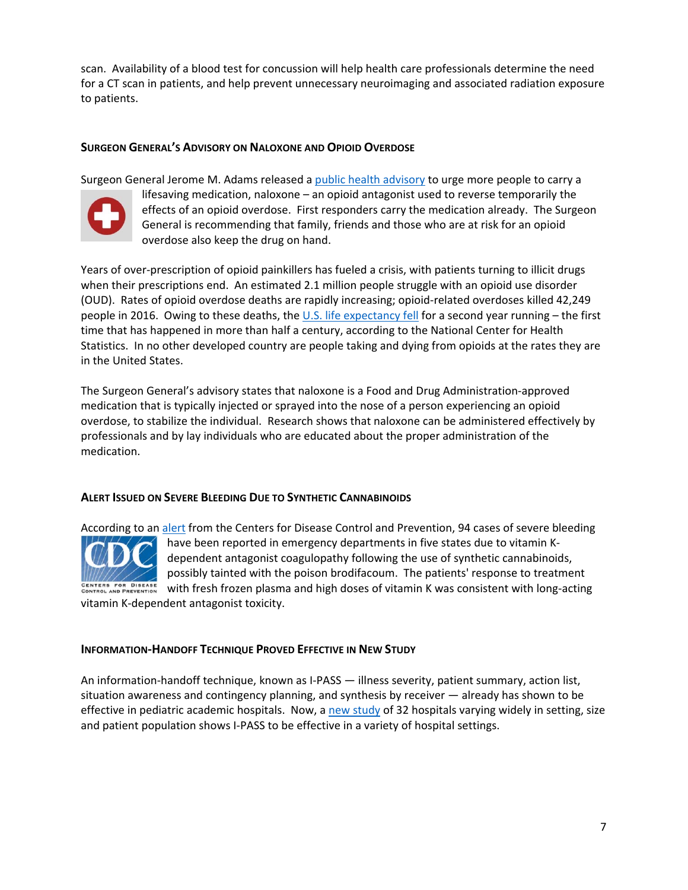scan. Availability of a blood test for concussion will help health care professionals determine the need for a CT scan in patients, and help prevent unnecessary neuroimaging and associated radiation exposure to patients.

## **SURGEON GENERAL'S ADVISORY ON NALOXONE AND OPIOID OVERDOSE**

Surgeon General Jerome M. Adams released a public health advisory to urge more people to carry a



lifesaving medication, naloxone – an opioid antagonist used to reverse temporarily the effects of an opioid overdose. First responders carry the medication already. The Surgeon General is recommending that family, friends and those who are at risk for an opioid overdose also keep the drug on hand.

Years of over‐prescription of opioid painkillers has fueled a crisis, with patients turning to illicit drugs when their prescriptions end. An estimated 2.1 million people struggle with an opioid use disorder (OUD). Rates of opioid overdose deaths are rapidly increasing; opioid‐related overdoses killed 42,249 people in 2016. Owing to these deaths, the U.S. life expectancy fell for a second year running – the first time that has happened in more than half a century, according to the National Center for Health Statistics. In no other developed country are people taking and dying from opioids at the rates they are in the United States.

The Surgeon General's advisory states that naloxone is a Food and Drug Administration‐approved medication that is typically injected or sprayed into the nose of a person experiencing an opioid overdose, to stabilize the individual. Research shows that naloxone can be administered effectively by professionals and by lay individuals who are educated about the proper administration of the medication.

#### **ALERT ISSUED ON SEVERE BLEEDING DUE TO SYNTHETIC CANNABINOIDS**



According to an alert from the Centers for Disease Control and Prevention, 94 cases of severe bleeding have been reported in emergency departments in five states due to vitamin K‐ dependent antagonist coagulopathy following the use of synthetic cannabinoids, possibly tainted with the poison brodifacoum. The patients' response to treatment with fresh frozen plasma and high doses of vitamin K was consistent with long-acting

vitamin K‐dependent antagonist toxicity.

#### **INFORMATION‐HANDOFF TECHNIQUE PROVED EFFECTIVE IN NEW STUDY**

An information-handoff technique, known as I-PASS — illness severity, patient summary, action list, situation awareness and contingency planning, and synthesis by receiver — already has shown to be effective in pediatric academic hospitals. Now, a new study of 32 hospitals varying widely in setting, size and patient population shows I‐PASS to be effective in a variety of hospital settings.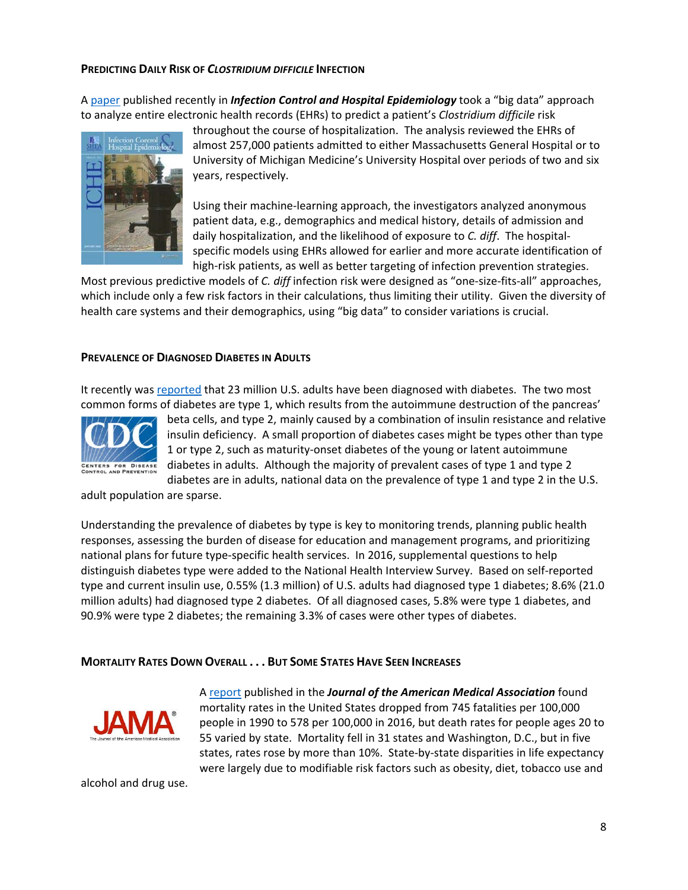#### **PREDICTING DAILY RISK OF** *CLOSTRIDIUM DIFFICILE* **INFECTION**

A paper published recently in *Infection Control and Hospital Epidemiology* took a "big data" approach to analyze entire electronic health records (EHRs) to predict a patient's *Clostridium difficile* risk



throughout the course of hospitalization. The analysis reviewed the EHRs of almost 257,000 patients admitted to either Massachusetts General Hospital or to University of Michigan Medicine's University Hospital over periods of two and six years, respectively.

Using their machine‐learning approach, the investigators analyzed anonymous patient data, e.g., demographics and medical history, details of admission and daily hospitalization, and the likelihood of exposure to *C. diff*. The hospital‐ specific models using EHRs allowed for earlier and more accurate identification of high-risk patients, as well as better targeting of infection prevention strategies.

Most previous predictive models of *C. diff* infection risk were designed as "one‐size‐fits‐all" approaches, which include only a few risk factors in their calculations, thus limiting their utility. Given the diversity of health care systems and their demographics, using "big data" to consider variations is crucial.

#### **PREVALENCE OF DIAGNOSED DIABETES IN ADULTS**

It recently was reported that 23 million U.S. adults have been diagnosed with diabetes. The two most common forms of diabetes are type 1, which results from the autoimmune destruction of the pancreas'



beta cells, and type 2, mainly caused by a combination of insulin resistance and relative insulin deficiency. A small proportion of diabetes cases might be types other than type 1 or type 2, such as maturity‐onset diabetes of the young or latent autoimmune diabetes in adults. Although the majority of prevalent cases of type 1 and type 2 diabetes are in adults, national data on the prevalence of type 1 and type 2 in the U.S.

adult population are sparse.

Understanding the prevalence of diabetes by type is key to monitoring trends, planning public health responses, assessing the burden of disease for education and management programs, and prioritizing national plans for future type‐specific health services. In 2016, supplemental questions to help distinguish diabetes type were added to the National Health Interview Survey. Based on self‐reported type and current insulin use, 0.55% (1.3 million) of U.S. adults had diagnosed type 1 diabetes; 8.6% (21.0 million adults) had diagnosed type 2 diabetes. Of all diagnosed cases, 5.8% were type 1 diabetes, and 90.9% were type 2 diabetes; the remaining 3.3% of cases were other types of diabetes.

#### **MORTALITY RATES DOWN OVERALL . . . BUT SOME STATES HAVE SEEN INCREASES**



A report published in the *Journal of the American Medical Association* found mortality rates in the United States dropped from 745 fatalities per 100,000 people in 1990 to 578 per 100,000 in 2016, but death rates for people ages 20 to 55 varied by state. Mortality fell in 31 states and Washington, D.C., but in five states, rates rose by more than 10%. State‐by‐state disparities in life expectancy were largely due to modifiable risk factors such as obesity, diet, tobacco use and

alcohol and drug use.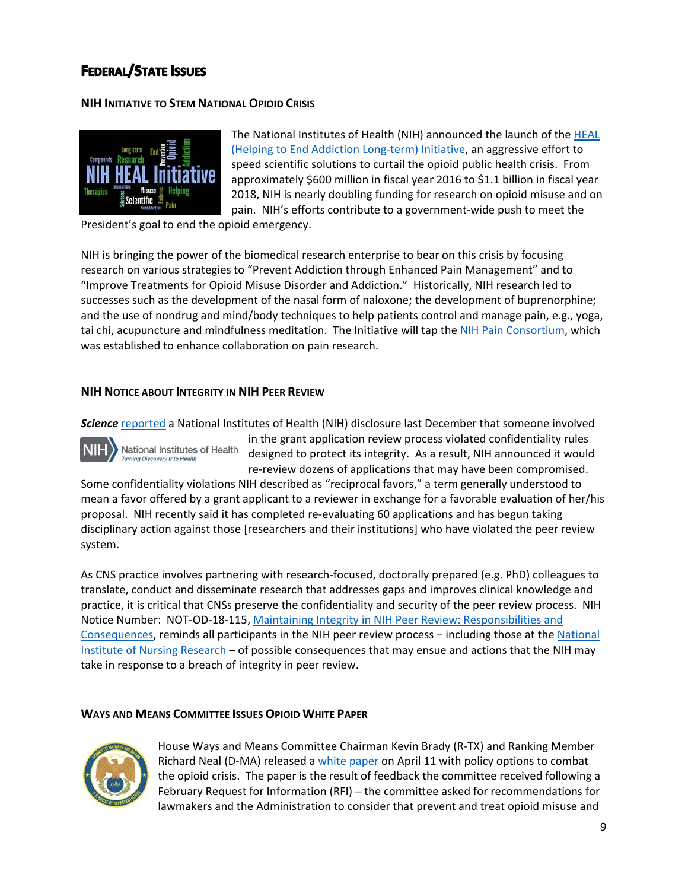# **FEDERAL/STATE ISSUES**

## **NIH INITIATIVE TO STEM NATIONAL OPIOID CRISIS**



The National Institutes of Health (NIH) announced the launch of the **HEAL** (Helping to End Addiction Long‐term) Initiative, an aggressive effort to speed scientific solutions to curtail the opioid public health crisis. From approximately \$600 million in fiscal year 2016 to \$1.1 billion in fiscal year 2018, NIH is nearly doubling funding for research on opioid misuse and on pain. NIH's efforts contribute to a government‐wide push to meet the

President's goal to end the opioid emergency.

NIH is bringing the power of the biomedical research enterprise to bear on this crisis by focusing research on various strategies to "Prevent Addiction through Enhanced Pain Management" and to "Improve Treatments for Opioid Misuse Disorder and Addiction." Historically, NIH research led to successes such as the development of the nasal form of naloxone; the development of buprenorphine; and the use of nondrug and mind/body techniques to help patients control and manage pain, e.g., yoga, tai chi, acupuncture and mindfulness meditation. The Initiative will tap the NIH Pain Consortium, which was established to enhance collaboration on pain research.

## **NIH NOTICE ABOUT INTEGRITY IN NIH PEER REVIEW**

*Science* reported a National Institutes of Health (NIH) disclosure last December that someone involved

National Institutes of Health Turning Discovery Into He

in the grant application review process violated confidentiality rules designed to protect its integrity. As a result, NIH announced it would re-review dozens of applications that may have been compromised.

Some confidentiality violations NIH described as "reciprocal favors," a term generally understood to mean a favor offered by a grant applicant to a reviewer in exchange for a favorable evaluation of her/his proposal. NIH recently said it has completed re‐evaluating 60 applications and has begun taking disciplinary action against those [researchers and their institutions] who have violated the peer review system.

As CNS practice involves partnering with research‐focused, doctorally prepared (e.g. PhD) colleagues to translate, conduct and disseminate research that addresses gaps and improves clinical knowledge and practice, it is critical that CNSs preserve the confidentiality and security of the peer review process. NIH Notice Number: NOT‐OD‐18‐115, Maintaining Integrity in NIH Peer Review: Responsibilities and Consequences, reminds all participants in the NIH peer review process – including those at the National Institute of Nursing Research – of possible consequences that may ensue and actions that the NIH may take in response to a breach of integrity in peer review.

#### **WAYS AND MEANS COMMITTEE ISSUES OPIOID WHITE PAPER**



House Ways and Means Committee Chairman Kevin Brady (R‐TX) and Ranking Member Richard Neal (D‐MA) released a white paper on April 11 with policy options to combat the opioid crisis. The paper is the result of feedback the committee received following a February Request for Information (RFI) – the committee asked for recommendations for lawmakers and the Administration to consider that prevent and treat opioid misuse and